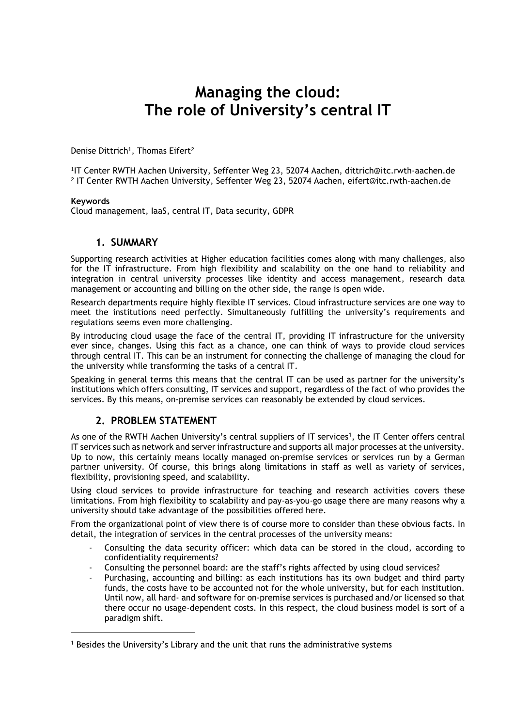# **Managing the cloud: The role of University's central IT**

Denise Dittrich $^{\rm 1}$ , Thomas Eifert $^{\rm 2}$ 

1 IT Center RWTH Aachen University, Seffenter Weg 23, 52074 Aachen, dittrich@itc.rwth-aachen.de 2 IT Center RWTH Aachen University, Seffenter Weg 23, 52074 Aachen, eifert@itc.rwth-aachen.de

#### **Keywords**

 $\overline{a}$ 

Cloud management, IaaS, central IT, Data security, GDPR

#### **1. SUMMARY**

Supporting research activities at Higher education facilities comes along with many challenges, also for the IT infrastructure. From high flexibility and scalability on the one hand to reliability and integration in central university processes like identity and access management, research data management or accounting and billing on the other side, the range is open wide.

Research departments require highly flexible IT services. Cloud infrastructure services are one way to meet the institutions need perfectly. Simultaneously fulfilling the university's requirements and regulations seems even more challenging.

By introducing cloud usage the face of the central IT, providing IT infrastructure for the university ever since, changes. Using this fact as a chance, one can think of ways to provide cloud services through central IT. This can be an instrument for connecting the challenge of managing the cloud for the university while transforming the tasks of a central IT.

Speaking in general terms this means that the central IT can be used as partner for the university's institutions which offers consulting, IT services and support, regardless of the fact of who provides the services. By this means, on-premise services can reasonably be extended by cloud services.

# **2. PROBLEM STATEMENT**

As one of the RWTH Aachen University's central suppliers of IT services<sup>1</sup>, the IT Center offers central IT services such as network and server infrastructure and supports all major processes at the university. Up to now, this certainly means locally managed on-premise services or services run by a German partner university. Of course, this brings along limitations in staff as well as variety of services, flexibility, provisioning speed, and scalability.

Using cloud services to provide infrastructure for teaching and research activities covers these limitations. From high flexibility to scalability and pay-as-you-go usage there are many reasons why a university should take advantage of the possibilities offered here.

From the organizational point of view there is of course more to consider than these obvious facts. In detail, the integration of services in the central processes of the university means:

- Consulting the data security officer: which data can be stored in the cloud, according to confidentiality requirements?
- Consulting the personnel board: are the staff's rights affected by using cloud services?
- Purchasing, accounting and billing: as each institutions has its own budget and third party funds, the costs have to be accounted not for the whole university, but for each institution. Until now, all hard- and software for on-premise services is purchased and/or licensed so that there occur no usage-dependent costs. In this respect, the cloud business model is sort of a paradigm shift.

<sup>&</sup>lt;sup>1</sup> Besides the University's Library and the unit that runs the administrative systems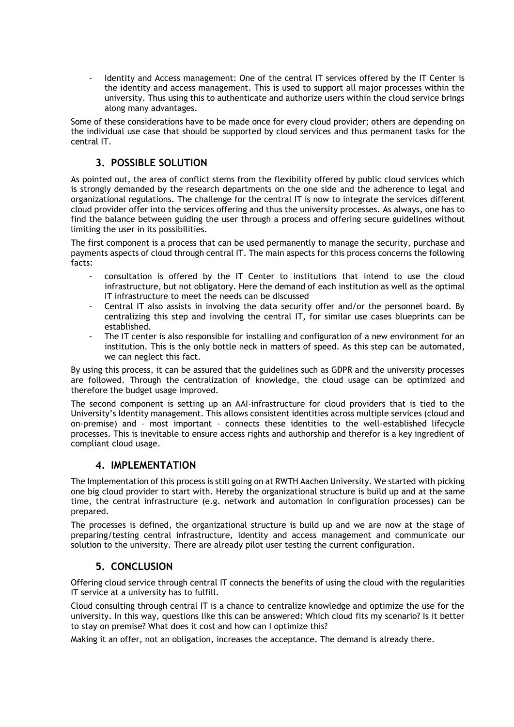Identity and Access management: One of the central IT services offered by the IT Center is the identity and access management. This is used to support all major processes within the university. Thus using this to authenticate and authorize users within the cloud service brings along many advantages.

Some of these considerations have to be made once for every cloud provider; others are depending on the individual use case that should be supported by cloud services and thus permanent tasks for the central IT.

# **3. POSSIBLE SOLUTION**

As pointed out, the area of conflict stems from the flexibility offered by public cloud services which is strongly demanded by the research departments on the one side and the adherence to legal and organizational regulations. The challenge for the central IT is now to integrate the services different cloud provider offer into the services offering and thus the university processes. As always, one has to find the balance between guiding the user through a process and offering secure guidelines without limiting the user in its possibilities.

The first component is a process that can be used permanently to manage the security, purchase and payments aspects of cloud through central IT. The main aspects for this process concerns the following facts:

- consultation is offered by the IT Center to institutions that intend to use the cloud infrastructure, but not obligatory. Here the demand of each institution as well as the optimal IT infrastructure to meet the needs can be discussed
- Central IT also assists in involving the data security offer and/or the personnel board. By centralizing this step and involving the central IT, for similar use cases blueprints can be established.
- The IT center is also responsible for installing and configuration of a new environment for an institution. This is the only bottle neck in matters of speed. As this step can be automated, we can neglect this fact.

By using this process, it can be assured that the guidelines such as GDPR and the university processes are followed. Through the centralization of knowledge, the cloud usage can be optimized and therefore the budget usage improved.

The second component is setting up an AAI-infrastructure for cloud providers that is tied to the University's Identity management. This allows consistent identities across multiple services (cloud and on-premise) and – most important – connects these identities to the well-established lifecycle processes. This is inevitable to ensure access rights and authorship and therefor is a key ingredient of compliant cloud usage.

### **4. IMPLEMENTATION**

The Implementation of this process is still going on at RWTH Aachen University. We started with picking one big cloud provider to start with. Hereby the organizational structure is build up and at the same time, the central infrastructure (e.g. network and automation in configuration processes) can be prepared.

The processes is defined, the organizational structure is build up and we are now at the stage of preparing/testing central infrastructure, identity and access management and communicate our solution to the university. There are already pilot user testing the current configuration.

# **5. CONCLUSION**

Offering cloud service through central IT connects the benefits of using the cloud with the regularities IT service at a university has to fulfill.

Cloud consulting through central IT is a chance to centralize knowledge and optimize the use for the university. In this way, questions like this can be answered: Which cloud fits my scenario? Is it better to stay on premise? What does it cost and how can I optimize this?

Making it an offer, not an obligation, increases the acceptance. The demand is already there.